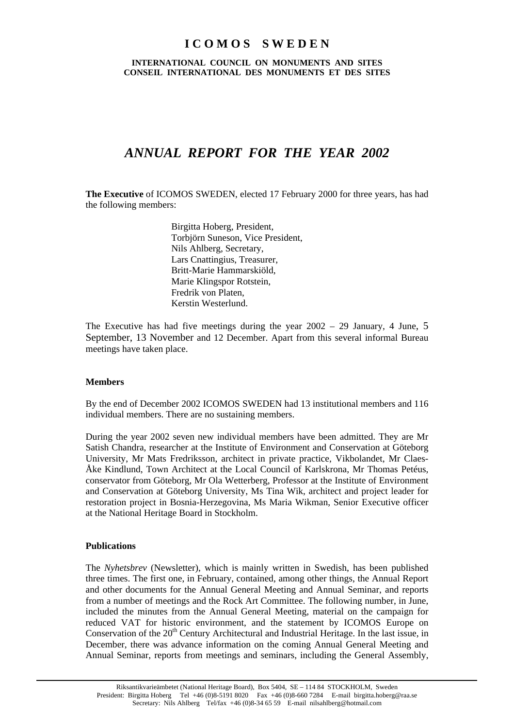# **I C O M O S S W E D E N**

## **INTERNATIONAL COUNCIL ON MONUMENTS AND SITES CONSEIL INTERNATIONAL DES MONUMENTS ET DES SITES**

# *ANNUAL REPORT FOR THE YEAR 2002*

**The Executive** of ICOMOS SWEDEN, elected 17 February 2000 for three years, has had the following members:

> Birgitta Hoberg, President, Torbjörn Suneson, Vice President, Nils Ahlberg, Secretary, Lars Cnattingius, Treasurer, Britt-Marie Hammarskiöld, Marie Klingspor Rotstein, Fredrik von Platen, Kerstin Westerlund.

The Executive has had five meetings during the year 2002 – 29 January, 4 June, 5 September, 13 November and 12 December. Apart from this several informal Bureau meetings have taken place.

## **Members**

By the end of December 2002 ICOMOS SWEDEN had 13 institutional members and 116 individual members. There are no sustaining members.

During the year 2002 seven new individual members have been admitted. They are Mr Satish Chandra, researcher at the Institute of Environment and Conservation at Göteborg University, Mr Mats Fredriksson, architect in private practice, Vikbolandet, Mr Claes-Åke Kindlund, Town Architect at the Local Council of Karlskrona, Mr Thomas Petéus, conservator from Göteborg, Mr Ola Wetterberg, Professor at the Institute of Environment and Conservation at Göteborg University, Ms Tina Wik, architect and project leader for restoration project in Bosnia-Herzegovina, Ms Maria Wikman, Senior Executive officer at the National Heritage Board in Stockholm.

## **Publications**

The *Nyhetsbrev* (Newsletter), which is mainly written in Swedish, has been published three times. The first one, in February, contained, among other things, the Annual Report and other documents for the Annual General Meeting and Annual Seminar, and reports from a number of meetings and the Rock Art Committee. The following number, in June, included the minutes from the Annual General Meeting, material on the campaign for reduced VAT for historic environment, and the statement by ICOMOS Europe on Conservation of the 20<sup>th</sup> Century Architectural and Industrial Heritage. In the last issue, in December, there was advance information on the coming Annual General Meeting and Annual Seminar, reports from meetings and seminars, including the General Assembly,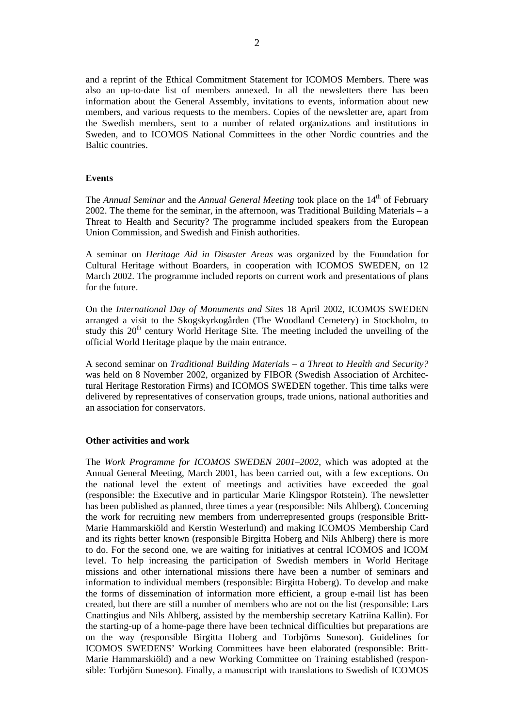and a reprint of the Ethical Commitment Statement for ICOMOS Members. There was also an up-to-date list of members annexed. In all the newsletters there has been information about the General Assembly, invitations to events, information about new members, and various requests to the members. Copies of the newsletter are, apart from the Swedish members, sent to a number of related organizations and institutions in Sweden, and to ICOMOS National Committees in the other Nordic countries and the Baltic countries.

### **Events**

The *Annual Seminar* and the *Annual General Meeting* took place on the 14<sup>th</sup> of February 2002. The theme for the seminar, in the afternoon, was Traditional Building Materials – a Threat to Health and Security? The programme included speakers from the European Union Commission, and Swedish and Finish authorities.

A seminar on *Heritage Aid in Disaster Areas* was organized by the Foundation for Cultural Heritage without Boarders, in cooperation with ICOMOS SWEDEN, on 12 March 2002. The programme included reports on current work and presentations of plans for the future.

On the *International Day of Monuments and Sites* 18 April 2002, ICOMOS SWEDEN arranged a visit to the Skogskyrkogården (The Woodland Cemetery) in Stockholm, to study this 20<sup>th</sup> century World Heritage Site. The meeting included the unveiling of the official World Heritage plaque by the main entrance.

A second seminar on *Traditional Building Materials – a Threat to Health and Security?* was held on 8 November 2002, organized by FIBOR (Swedish Association of Architectural Heritage Restoration Firms) and ICOMOS SWEDEN together. This time talks were delivered by representatives of conservation groups, trade unions, national authorities and an association for conservators.

#### **Other activities and work**

The *Work Programme for ICOMOS SWEDEN 2001–2002*, which was adopted at the Annual General Meeting, March 2001, has been carried out, with a few exceptions. On the national level the extent of meetings and activities have exceeded the goal (responsible: the Executive and in particular Marie Klingspor Rotstein). The newsletter has been published as planned, three times a year (responsible: Nils Ahlberg). Concerning the work for recruiting new members from underrepresented groups (responsible Britt-Marie Hammarskiöld and Kerstin Westerlund) and making ICOMOS Membership Card and its rights better known (responsible Birgitta Hoberg and Nils Ahlberg) there is more to do. For the second one, we are waiting for initiatives at central ICOMOS and ICOM level. To help increasing the participation of Swedish members in World Heritage missions and other international missions there have been a number of seminars and information to individual members (responsible: Birgitta Hoberg). To develop and make the forms of dissemination of information more efficient, a group e-mail list has been created, but there are still a number of members who are not on the list (responsible: Lars Cnattingius and Nils Ahlberg, assisted by the membership secretary Katriina Kallin). For the starting-up of a home-page there have been technical difficulties but preparations are on the way (responsible Birgitta Hoberg and Torbjörns Suneson). Guidelines for ICOMOS SWEDENS' Working Committees have been elaborated (responsible: Britt-Marie Hammarskiöld) and a new Working Committee on Training established (responsible: Torbjörn Suneson). Finally, a manuscript with translations to Swedish of ICOMOS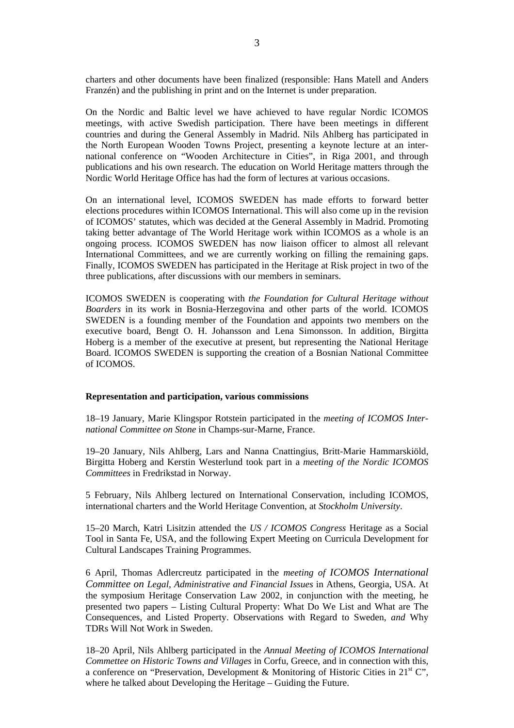charters and other documents have been finalized (responsible: Hans Matell and Anders Franzén) and the publishing in print and on the Internet is under preparation.

On the Nordic and Baltic level we have achieved to have regular Nordic ICOMOS meetings, with active Swedish participation. There have been meetings in different countries and during the General Assembly in Madrid. Nils Ahlberg has participated in the North European Wooden Towns Project, presenting a keynote lecture at an international conference on "Wooden Architecture in Cities", in Riga 2001, and through publications and his own research. The education on World Heritage matters through the Nordic World Heritage Office has had the form of lectures at various occasions.

On an international level, ICOMOS SWEDEN has made efforts to forward better elections procedures within ICOMOS International. This will also come up in the revision of ICOMOS' statutes, which was decided at the General Assembly in Madrid. Promoting taking better advantage of The World Heritage work within ICOMOS as a whole is an ongoing process. ICOMOS SWEDEN has now liaison officer to almost all relevant International Committees, and we are currently working on filling the remaining gaps. Finally, ICOMOS SWEDEN has participated in the Heritage at Risk project in two of the three publications, after discussions with our members in seminars.

ICOMOS SWEDEN is cooperating with *the Foundation for Cultural Heritage without Boarders* in its work in Bosnia-Herzegovina and other parts of the world. ICOMOS SWEDEN is a founding member of the Foundation and appoints two members on the executive board, Bengt O. H. Johansson and Lena Simonsson. In addition, Birgitta Hoberg is a member of the executive at present, but representing the National Heritage Board. ICOMOS SWEDEN is supporting the creation of a Bosnian National Committee of ICOMOS.

#### **Representation and participation, various commissions**

18–19 January, Marie Klingspor Rotstein participated in the *meeting of ICOMOS International Committee on Stone* in Champs-sur-Marne, France.

19–20 January, Nils Ahlberg, Lars and Nanna Cnattingius, Britt-Marie Hammarskiöld, Birgitta Hoberg and Kerstin Westerlund took part in a *meeting of the Nordic ICOMOS Committees* in Fredrikstad in Norway.

5 February, Nils Ahlberg lectured on International Conservation, including ICOMOS, international charters and the World Heritage Convention, at *Stockholm University*.

15–20 March, Katri Lisitzin attended the *US / ICOMOS Congress* Heritage as a Social Tool in Santa Fe, USA, and the following Expert Meeting on Curricula Development for Cultural Landscapes Training Programmes.

6 April, Thomas Adlercreutz participated in the *meeting of ICOMOS International Committee on Legal, Administrative and Financial Issues* in Athens, Georgia, USA. At the symposium Heritage Conservation Law 2002, in conjunction with the meeting, he presented two papers – Listing Cultural Property: What Do We List and What are The Consequences, and Listed Property. Observations with Regard to Sweden, *and* Why TDRs Will Not Work in Sweden.

18–20 April, Nils Ahlberg participated in the *Annual Meeting of ICOMOS International Commettee on Historic Towns and Villages* in Corfu, Greece, and in connection with this, a conference on "Preservation, Development & Monitoring of Historic Cities in  $21<sup>st</sup>$  C", where he talked about Developing the Heritage – Guiding the Future.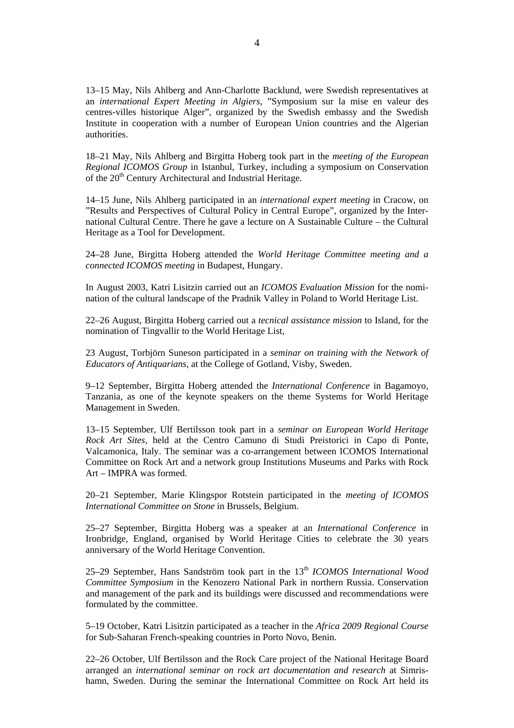13–15 May, Nils Ahlberg and Ann-Charlotte Backlund, were Swedish representatives at an *international Expert Meeting in Algiers*, "Symposium sur la mise en valeur des centres-villes historique Alger", organized by the Swedish embassy and the Swedish Institute in cooperation with a number of European Union countries and the Algerian authorities.

18–21 May, Nils Ahlberg and Birgitta Hoberg took part in the *meeting of the European Regional ICOMOS Group* in Istanbul, Turkey, including a symposium on Conservation of the 20<sup>th</sup> Century Architectural and Industrial Heritage.

14–15 June, Nils Ahlberg participated in an *international expert meeting* in Cracow, on "Results and Perspectives of Cultural Policy in Central Europe", organized by the International Cultural Centre. There he gave a lecture on A Sustainable Culture – the Cultural Heritage as a Tool for Development.

24–28 June, Birgitta Hoberg attended the *World Heritage Committee meeting and a connected ICOMOS meeting* in Budapest, Hungary.

In August 2003, Katri Lisitzin carried out an *ICOMOS Evaluation Mission* for the nomination of the cultural landscape of the Pradnik Valley in Poland to World Heritage List.

22–26 August, Birgitta Hoberg carried out a *tecnical assistance mission* to Island, for the nomination of Tingvallir to the World Heritage List,

23 August, Torbjörn Suneson participated in a *seminar on training with the Network of Educators of Antiquarians*, at the College of Gotland, Visby, Sweden.

9–12 September, Birgitta Hoberg attended the *International Conference* in Bagamoyo, Tanzania, as one of the keynote speakers on the theme Systems for World Heritage Management in Sweden.

13–15 September, Ulf Bertilsson took part in a *seminar on European World Heritage Rock Art Sites,* held at the Centro Camuno di Studi Preistorici in Capo di Ponte, Valcamonica, Italy. The seminar was a co-arrangement between ICOMOS International Committee on Rock Art and a network group Institutions Museums and Parks with Rock Art – IMPRA was formed.

20–21 September, Marie Klingspor Rotstein participated in the *meeting of ICOMOS International Committee on Stone* in Brussels, Belgium.

25–27 September, Birgitta Hoberg was a speaker at an *International Conference* in Ironbridge, England, organised by World Heritage Cities to celebrate the 30 years anniversary of the World Heritage Convention.

25–29 September, Hans Sandström took part in the 13th *ICOMOS International Wood Committee Symposium* in the Kenozero National Park in northern Russia. Conservation and management of the park and its buildings were discussed and recommendations were formulated by the committee.

5–19 October, Katri Lisitzin participated as a teacher in the *Africa 2009 Regional Course* for Sub-Saharan French-speaking countries in Porto Novo, Benin.

22–26 October, Ulf Bertilsson and the Rock Care project of the National Heritage Board arranged an *international seminar on rock art documentation and research* at Simrishamn, Sweden. During the seminar the International Committee on Rock Art held its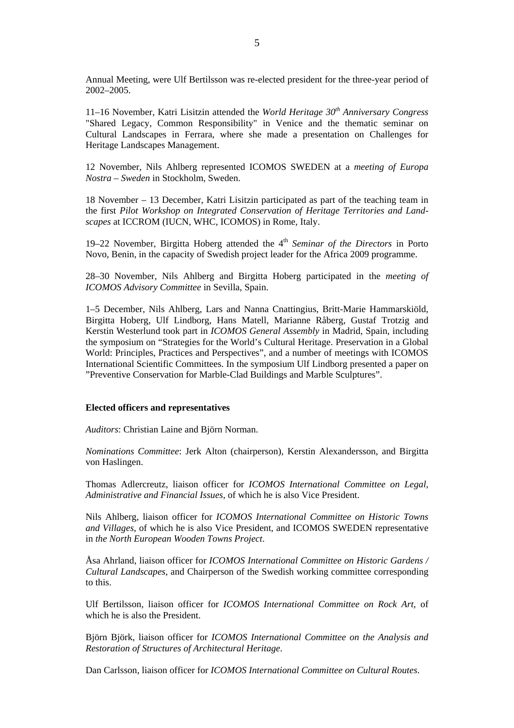Annual Meeting, were Ulf Bertilsson was re-elected president for the three-year period of 2002–2005.

11–16 November, Katri Lisitzin attended the *World Heritage 30th Anniversary Congress* "Shared Legacy, Common Responsibility" in Venice and the thematic seminar on Cultural Landscapes in Ferrara, where she made a presentation on Challenges for Heritage Landscapes Management.

12 November, Nils Ahlberg represented ICOMOS SWEDEN at a *meeting of Europa Nostra – Sweden* in Stockholm, Sweden.

18 November – 13 December, Katri Lisitzin participated as part of the teaching team in the first *Pilot Workshop on Integrated Conservation of Heritage Territories and Landscapes* at ICCROM (IUCN, WHC, ICOMOS) in Rome, Italy.

19–22 November, Birgitta Hoberg attended the 4<sup>th</sup> Seminar of the Directors in Porto Novo, Benin, in the capacity of Swedish project leader for the Africa 2009 programme.

28–30 November, Nils Ahlberg and Birgitta Hoberg participated in the *meeting of ICOMOS Advisory Committee* in Sevilla, Spain.

1–5 December, Nils Ahlberg, Lars and Nanna Cnattingius, Britt-Marie Hammarskiöld, Birgitta Hoberg, Ulf Lindborg, Hans Matell, Marianne Råberg, Gustaf Trotzig and Kerstin Westerlund took part in *ICOMOS General Assembly* in Madrid, Spain, including the symposium on "Strategies for the World's Cultural Heritage. Preservation in a Global World: Principles, Practices and Perspectives", and a number of meetings with ICOMOS International Scientific Committees. In the symposium Ulf Lindborg presented a paper on "Preventive Conservation for Marble-Clad Buildings and Marble Sculptures".

#### **Elected officers and representatives**

*Auditors*: Christian Laine and Björn Norman.

*Nominations Committee*: Jerk Alton (chairperson), Kerstin Alexandersson, and Birgitta von Haslingen.

Thomas Adlercreutz, liaison officer for *ICOMOS International Committee on Legal, Administrative and Financial Issues*, of which he is also Vice President.

Nils Ahlberg, liaison officer for *ICOMOS International Committee on Historic Towns and Villages*, of which he is also Vice President, and ICOMOS SWEDEN representative in *the North European Wooden Towns Project*.

Åsa Ahrland, liaison officer for *ICOMOS International Committee on Historic Gardens / Cultural Landscapes*, and Chairperson of the Swedish working committee corresponding to this.

Ulf Bertilsson, liaison officer for *ICOMOS International Committee on Rock Art*, of which he is also the President.

Björn Björk, liaison officer for *ICOMOS International Committee on the Analysis and Restoration of Structures of Architectural Heritage*.

Dan Carlsson, liaison officer for *ICOMOS International Committee on Cultural Routes*.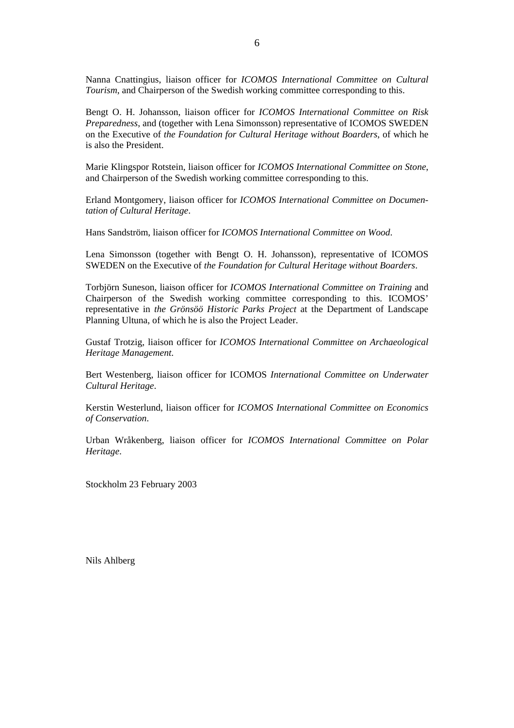Nanna Cnattingius, liaison officer for *ICOMOS International Committee on Cultural Tourism*, and Chairperson of the Swedish working committee corresponding to this.

Bengt O. H. Johansson, liaison officer for *ICOMOS International Committee on Risk Preparedness*, and (together with Lena Simonsson) representative of ICOMOS SWEDEN on the Executive of *the Foundation for Cultural Heritage without Boarders*, of which he is also the President.

Marie Klingspor Rotstein, liaison officer for *ICOMOS International Committee on Stone*, and Chairperson of the Swedish working committee corresponding to this.

Erland Montgomery, liaison officer for *ICOMOS International Committee on Documentation of Cultural Heritage*.

Hans Sandström, liaison officer for *ICOMOS International Committee on Wood*.

Lena Simonsson (together with Bengt O. H. Johansson), representative of ICOMOS SWEDEN on the Executive of *the Foundation for Cultural Heritage without Boarders*.

Torbjörn Suneson, liaison officer for *ICOMOS International Committee on Training* and Chairperson of the Swedish working committee corresponding to this. ICOMOS' representative in *the Grönsöö Historic Parks Project* at the Department of Landscape Planning Ultuna, of which he is also the Project Leader.

Gustaf Trotzig, liaison officer for *ICOMOS International Committee on Archaeological Heritage Management*.

Bert Westenberg, liaison officer for ICOMOS *International Committee on Underwater Cultural Heritage*.

Kerstin Westerlund, liaison officer for *ICOMOS International Committee on Economics of Conservation*.

Urban Wråkenberg, liaison officer for *ICOMOS International Committee on Polar Heritage*.

Stockholm 23 February 2003

Nils Ahlberg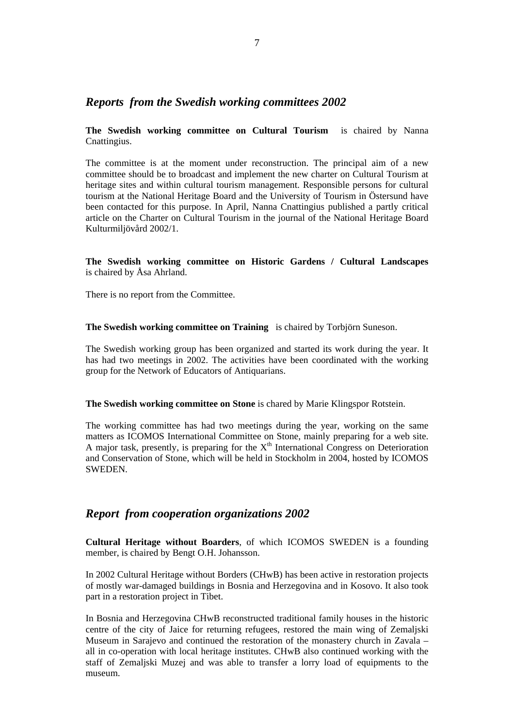# *Reports from the Swedish working committees 2002*

**The Swedish working committee on Cultural Tourism** is chaired by Nanna Cnattingius.

The committee is at the moment under reconstruction. The principal aim of a new committee should be to broadcast and implement the new charter on Cultural Tourism at heritage sites and within cultural tourism management. Responsible persons for cultural tourism at the National Heritage Board and the University of Tourism in Östersund have been contacted for this purpose. In April, Nanna Cnattingius published a partly critical article on the Charter on Cultural Tourism in the journal of the National Heritage Board Kulturmiljövård 2002/1.

**The Swedish working committee on Historic Gardens / Cultural Landscapes** is chaired by Åsa Ahrland.

There is no report from the Committee.

**The Swedish working committee on Training** is chaired by Torbjörn Suneson.

The Swedish working group has been organized and started its work during the year. It has had two meetings in 2002. The activities have been coordinated with the working group for the Network of Educators of Antiquarians.

**The Swedish working committee on Stone** is chared by Marie Klingspor Rotstein.

The working committee has had two meetings during the year, working on the same matters as ICOMOS International Committee on Stone, mainly preparing for a web site. A major task, presently, is preparing for the  $X<sup>th</sup>$  International Congress on Deterioration and Conservation of Stone, which will be held in Stockholm in 2004, hosted by ICOMOS **SWEDEN** 

# *Report from cooperation organizations 2002*

**Cultural Heritage without Boarders**, of which ICOMOS SWEDEN is a founding member, is chaired by Bengt O.H. Johansson.

In 2002 Cultural Heritage without Borders (CHwB) has been active in restoration projects of mostly war-damaged buildings in Bosnia and Herzegovina and in Kosovo. It also took part in a restoration project in Tibet.

In Bosnia and Herzegovina CHwB reconstructed traditional family houses in the historic centre of the city of Jaice for returning refugees, restored the main wing of Zemaljski Museum in Sarajevo and continued the restoration of the monastery church in Zavala – all in co-operation with local heritage institutes. CHwB also continued working with the staff of Zemaljski Muzej and was able to transfer a lorry load of equipments to the museum.